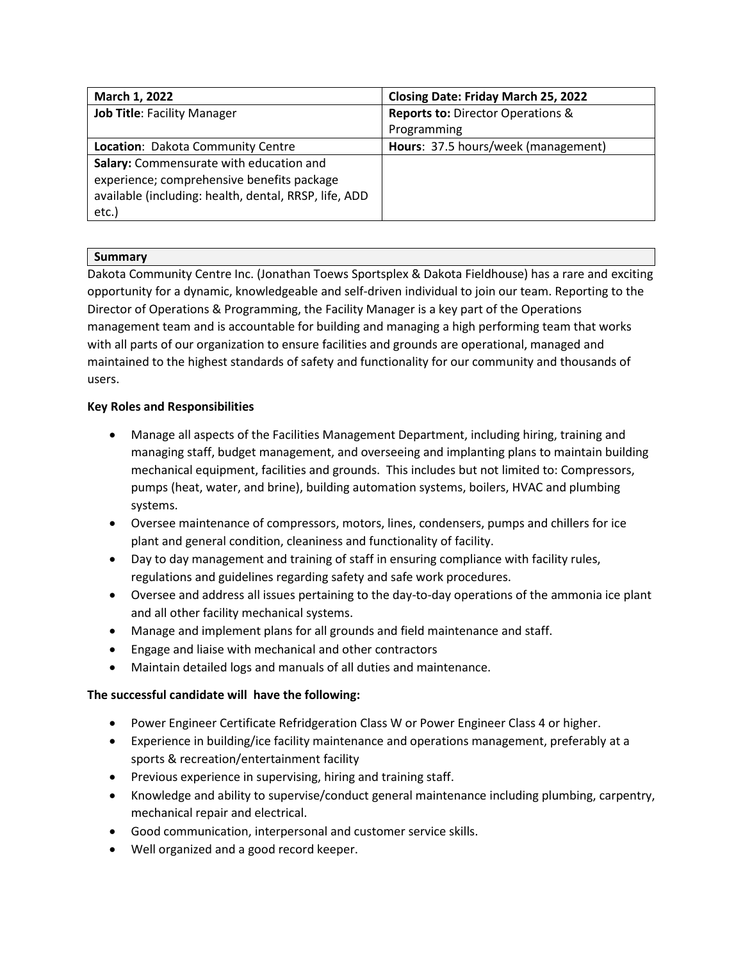| March 1, 2022                                         | <b>Closing Date: Friday March 25, 2022</b>   |
|-------------------------------------------------------|----------------------------------------------|
| <b>Job Title: Facility Manager</b>                    | <b>Reports to: Director Operations &amp;</b> |
|                                                       | Programming                                  |
| Location: Dakota Community Centre                     | Hours: 37.5 hours/week (management)          |
| Salary: Commensurate with education and               |                                              |
| experience; comprehensive benefits package            |                                              |
| available (including: health, dental, RRSP, life, ADD |                                              |
| etc.)                                                 |                                              |

## **Summary**

Dakota Community Centre Inc. (Jonathan Toews Sportsplex & Dakota Fieldhouse) has a rare and exciting opportunity for a dynamic, knowledgeable and self-driven individual to join our team. Reporting to the Director of Operations & Programming, the Facility Manager is a key part of the Operations management team and is accountable for building and managing a high performing team that works with all parts of our organization to ensure facilities and grounds are operational, managed and maintained to the highest standards of safety and functionality for our community and thousands of users.

## **Key Roles and Responsibilities**

- Manage all aspects of the Facilities Management Department, including hiring, training and managing staff, budget management, and overseeing and implanting plans to maintain building mechanical equipment, facilities and grounds. This includes but not limited to: Compressors, pumps (heat, water, and brine), building automation systems, boilers, HVAC and plumbing systems.
- Oversee maintenance of compressors, motors, lines, condensers, pumps and chillers for ice plant and general condition, cleaniness and functionality of facility.
- Day to day management and training of staff in ensuring compliance with facility rules, regulations and guidelines regarding safety and safe work procedures.
- Oversee and address all issues pertaining to the day-to-day operations of the ammonia ice plant and all other facility mechanical systems.
- Manage and implement plans for all grounds and field maintenance and staff.
- Engage and liaise with mechanical and other contractors
- Maintain detailed logs and manuals of all duties and maintenance.

## **The successful candidate will have the following:**

- Power Engineer Certificate Refridgeration Class W or Power Engineer Class 4 or higher.
- Experience in building/ice facility maintenance and operations management, preferably at a sports & recreation/entertainment facility
- Previous experience in supervising, hiring and training staff.
- Knowledge and ability to supervise/conduct general maintenance including plumbing, carpentry, mechanical repair and electrical.
- Good communication, interpersonal and customer service skills.
- Well organized and a good record keeper.